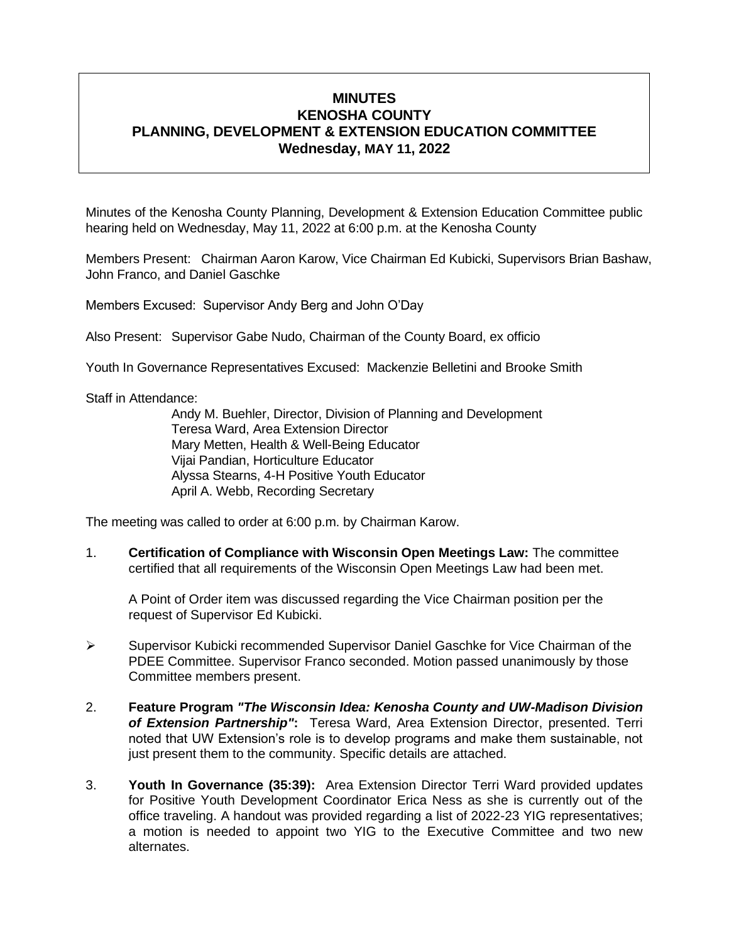# **MINUTES KENOSHA COUNTY PLANNING, DEVELOPMENT & EXTENSION EDUCATION COMMITTEE Wednesday, MAY 11, 2022**

Minutes of the Kenosha County Planning, Development & Extension Education Committee public hearing held on Wednesday, May 11, 2022 at 6:00 p.m. at the Kenosha County

Members Present: Chairman Aaron Karow, Vice Chairman Ed Kubicki, Supervisors Brian Bashaw, John Franco, and Daniel Gaschke

Members Excused: Supervisor Andy Berg and John O'Day

Also Present: Supervisor Gabe Nudo, Chairman of the County Board, ex officio

Youth In Governance Representatives Excused: Mackenzie Belletini and Brooke Smith

Staff in Attendance:

Andy M. Buehler, Director, Division of Planning and Development Teresa Ward, Area Extension Director Mary Metten, Health & Well-Being Educator Vijai Pandian, Horticulture Educator Alyssa Stearns, 4-H Positive Youth Educator April A. Webb, Recording Secretary

The meeting was called to order at 6:00 p.m. by Chairman Karow.

1. **Certification of Compliance with Wisconsin Open Meetings Law:** The committee certified that all requirements of the Wisconsin Open Meetings Law had been met.

A Point of Order item was discussed regarding the Vice Chairman position per the request of Supervisor Ed Kubicki.

- ➢ Supervisor Kubicki recommended Supervisor Daniel Gaschke for Vice Chairman of the PDEE Committee. Supervisor Franco seconded. Motion passed unanimously by those Committee members present.
- 2. **Feature Program** *"The Wisconsin Idea: Kenosha County and UW-Madison Division of Extension Partnership"***:** Teresa Ward, Area Extension Director, presented. Terri noted that UW Extension's role is to develop programs and make them sustainable, not just present them to the community. Specific details are attached.
- 3. **Youth In Governance (35:39):** Area Extension Director Terri Ward provided updates for Positive Youth Development Coordinator Erica Ness as she is currently out of the office traveling. A handout was provided regarding a list of 2022-23 YIG representatives; a motion is needed to appoint two YIG to the Executive Committee and two new alternates.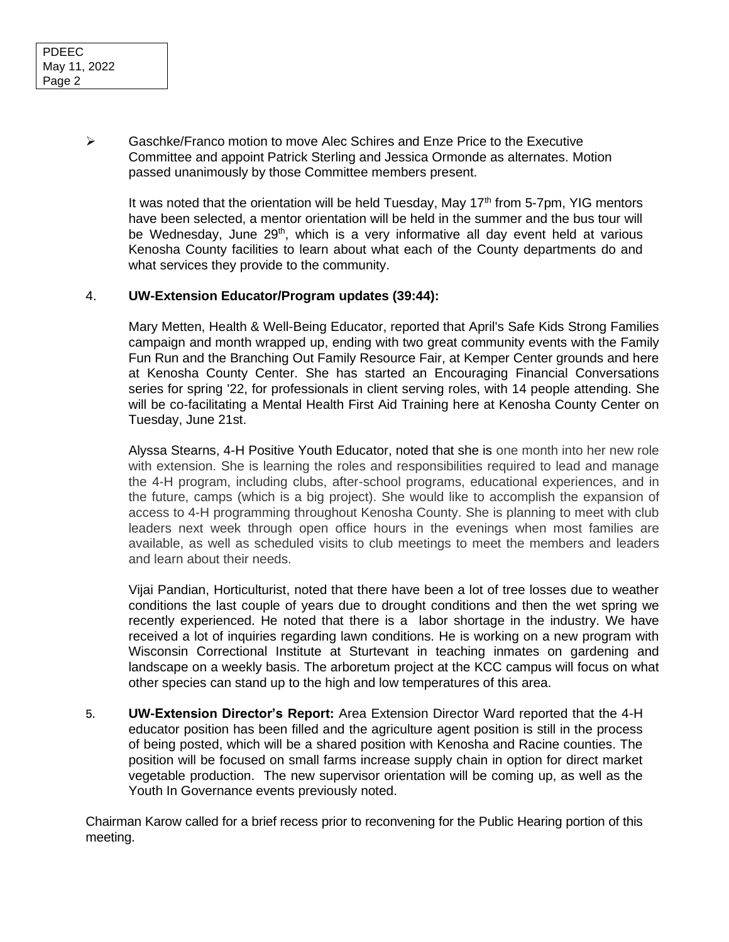➢ Gaschke/Franco motion to move Alec Schires and Enze Price to the Executive Committee and appoint Patrick Sterling and Jessica Ormonde as alternates. Motion passed unanimously by those Committee members present.

It was noted that the orientation will be held Tuesday, May  $17<sup>th</sup>$  from 5-7pm, YIG mentors have been selected, a mentor orientation will be held in the summer and the bus tour will be Wednesday, June  $29<sup>th</sup>$ , which is a very informative all day event held at various Kenosha County facilities to learn about what each of the County departments do and what services they provide to the community.

#### 4. **UW-Extension Educator/Program updates (39:44):**

Mary Metten, Health & Well-Being Educator, reported that April's Safe Kids Strong Families campaign and month wrapped up, ending with two great community events with the Family Fun Run and the Branching Out Family Resource Fair, at Kemper Center grounds and here at Kenosha County Center. She has started an Encouraging Financial Conversations series for spring '22, for professionals in client serving roles, with 14 people attending. She will be co-facilitating a Mental Health First Aid Training here at Kenosha County Center on Tuesday, June 21st.

Alyssa Stearns, 4-H Positive Youth Educator, noted that she is one month into her new role with extension. She is learning the roles and responsibilities required to lead and manage the 4-H program, including clubs, after-school programs, educational experiences, and in the future, camps (which is a big project). She would like to accomplish the expansion of access to 4-H programming throughout Kenosha County. She is planning to meet with club leaders next week through open office hours in the evenings when most families are available, as well as scheduled visits to club meetings to meet the members and leaders and learn about their needs.

Vijai Pandian, Horticulturist, noted that there have been a lot of tree losses due to weather conditions the last couple of years due to drought conditions and then the wet spring we recently experienced. He noted that there is a labor shortage in the industry. We have received a lot of inquiries regarding lawn conditions. He is working on a new program with Wisconsin Correctional Institute at Sturtevant in teaching inmates on gardening and landscape on a weekly basis. The arboretum project at the KCC campus will focus on what other species can stand up to the high and low temperatures of this area.

5. **UW-Extension Director's Report:** Area Extension Director Ward reported that the 4-H educator position has been filled and the agriculture agent position is still in the process of being posted, which will be a shared position with Kenosha and Racine counties. The position will be focused on small farms increase supply chain in option for direct market vegetable production. The new supervisor orientation will be coming up, as well as the Youth In Governance events previously noted.

Chairman Karow called for a brief recess prior to reconvening for the Public Hearing portion of this meeting.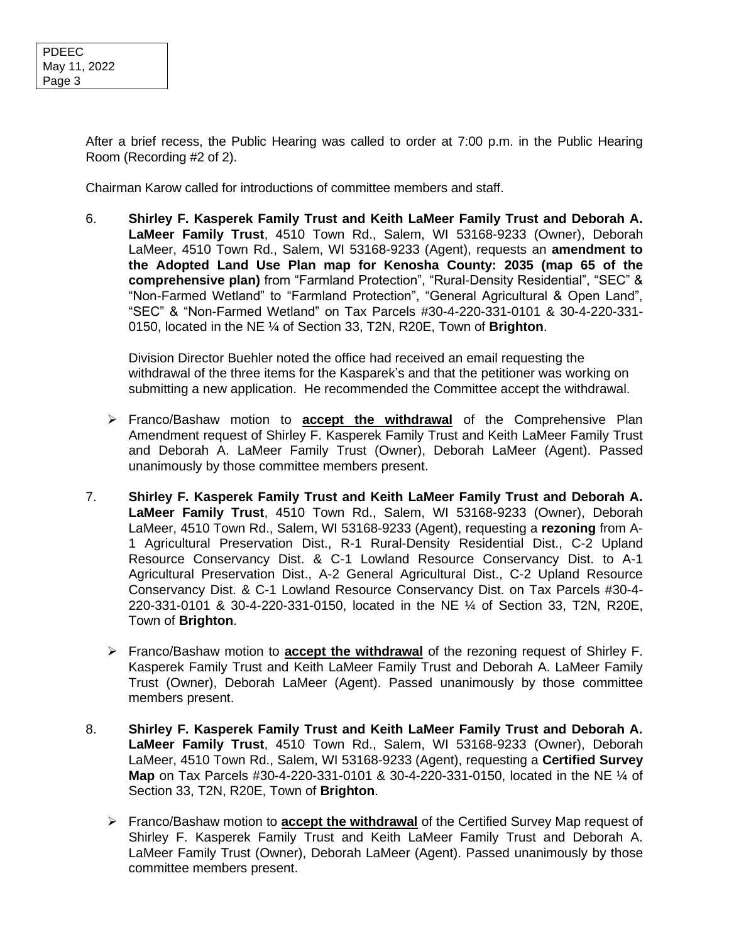After a brief recess, the Public Hearing was called to order at 7:00 p.m. in the Public Hearing Room (Recording #2 of 2).

Chairman Karow called for introductions of committee members and staff.

6. **Shirley F. Kasperek Family Trust and Keith LaMeer Family Trust and Deborah A. LaMeer Family Trust**, 4510 Town Rd., Salem, WI 53168-9233 (Owner), Deborah LaMeer, 4510 Town Rd., Salem, WI 53168-9233 (Agent), requests an **amendment to the Adopted Land Use Plan map for Kenosha County: 2035 (map 65 of the comprehensive plan)** from "Farmland Protection", "Rural-Density Residential", "SEC" & "Non-Farmed Wetland" to "Farmland Protection", "General Agricultural & Open Land", "SEC" & "Non-Farmed Wetland" on Tax Parcels #30-4-220-331-0101 & 30-4-220-331- 0150, located in the NE ¼ of Section 33, T2N, R20E, Town of **Brighton**.

Division Director Buehler noted the office had received an email requesting the withdrawal of the three items for the Kasparek's and that the petitioner was working on submitting a new application. He recommended the Committee accept the withdrawal.

- ➢ Franco/Bashaw motion to **accept the withdrawal** of the Comprehensive Plan Amendment request of Shirley F. Kasperek Family Trust and Keith LaMeer Family Trust and Deborah A. LaMeer Family Trust (Owner), Deborah LaMeer (Agent). Passed unanimously by those committee members present.
- 7. **Shirley F. Kasperek Family Trust and Keith LaMeer Family Trust and Deborah A. LaMeer Family Trust**, 4510 Town Rd., Salem, WI 53168-9233 (Owner), Deborah LaMeer, 4510 Town Rd., Salem, WI 53168-9233 (Agent), requesting a **rezoning** from A-1 Agricultural Preservation Dist., R-1 Rural-Density Residential Dist., C-2 Upland Resource Conservancy Dist. & C-1 Lowland Resource Conservancy Dist. to A-1 Agricultural Preservation Dist., A-2 General Agricultural Dist., C-2 Upland Resource Conservancy Dist. & C-1 Lowland Resource Conservancy Dist. on Tax Parcels #30-4- 220-331-0101 & 30-4-220-331-0150, located in the NE ¼ of Section 33, T2N, R20E, Town of **Brighton**.
	- ➢ Franco/Bashaw motion to **accept the withdrawal** of the rezoning request of Shirley F. Kasperek Family Trust and Keith LaMeer Family Trust and Deborah A. LaMeer Family Trust (Owner), Deborah LaMeer (Agent). Passed unanimously by those committee members present.
- 8. **Shirley F. Kasperek Family Trust and Keith LaMeer Family Trust and Deborah A. LaMeer Family Trust**, 4510 Town Rd., Salem, WI 53168-9233 (Owner), Deborah LaMeer, 4510 Town Rd., Salem, WI 53168-9233 (Agent), requesting a **Certified Survey Map** on Tax Parcels #30-4-220-331-0101 & 30-4-220-331-0150, located in the NE ¼ of Section 33, T2N, R20E, Town of **Brighton**.
	- ➢ Franco/Bashaw motion to **accept the withdrawal** of the Certified Survey Map request of Shirley F. Kasperek Family Trust and Keith LaMeer Family Trust and Deborah A. LaMeer Family Trust (Owner), Deborah LaMeer (Agent). Passed unanimously by those committee members present.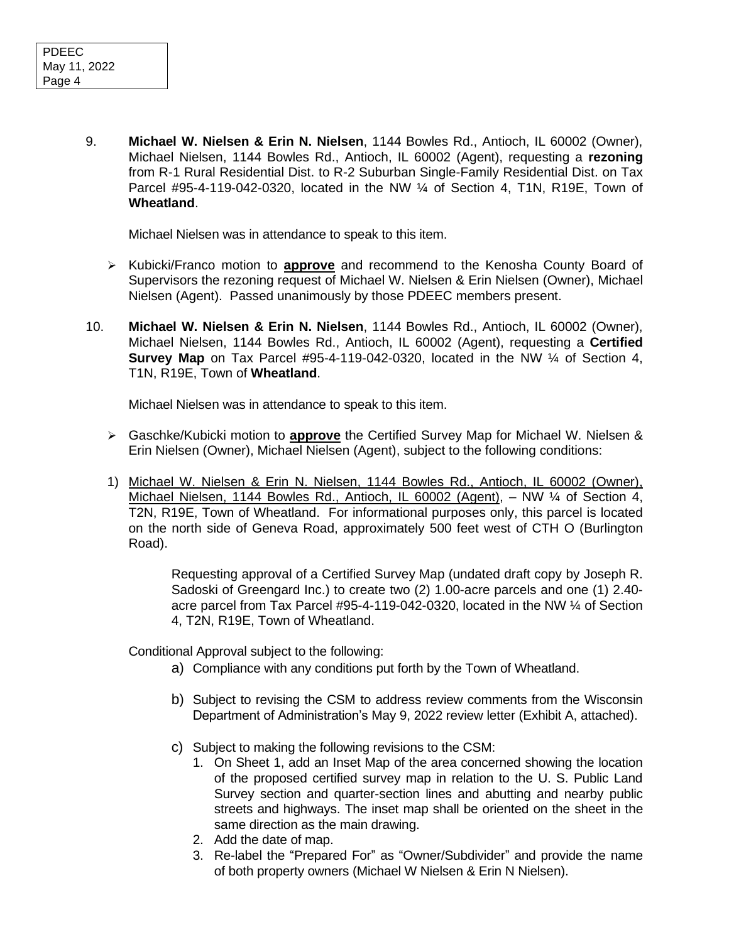9. **Michael W. Nielsen & Erin N. Nielsen**, 1144 Bowles Rd., Antioch, IL 60002 (Owner), Michael Nielsen, 1144 Bowles Rd., Antioch, IL 60002 (Agent), requesting a **rezoning**  from R-1 Rural Residential Dist. to R-2 Suburban Single-Family Residential Dist. on Tax Parcel #95-4-119-042-0320, located in the NW  $\frac{1}{4}$  of Section 4, T1N, R19E, Town of **Wheatland**.

Michael Nielsen was in attendance to speak to this item.

- ➢ Kubicki/Franco motion to **approve** and recommend to the Kenosha County Board of Supervisors the rezoning request of Michael W. Nielsen & Erin Nielsen (Owner), Michael Nielsen (Agent). Passed unanimously by those PDEEC members present.
- 10. **Michael W. Nielsen & Erin N. Nielsen**, 1144 Bowles Rd., Antioch, IL 60002 (Owner), Michael Nielsen, 1144 Bowles Rd., Antioch, IL 60002 (Agent), requesting a **Certified Survey Map** on Tax Parcel #95-4-119-042-0320, located in the NW ¼ of Section 4, T1N, R19E, Town of **Wheatland**.

Michael Nielsen was in attendance to speak to this item.

- ➢ Gaschke/Kubicki motion to **approve** the Certified Survey Map for Michael W. Nielsen & Erin Nielsen (Owner), Michael Nielsen (Agent), subject to the following conditions:
- 1) Michael W. Nielsen & Erin N. Nielsen, 1144 Bowles Rd., Antioch, IL 60002 (Owner), Michael Nielsen, 1144 Bowles Rd., Antioch, IL 60002 (Agent), – NW ¼ of Section 4, T2N, R19E, Town of Wheatland. For informational purposes only, this parcel is located on the north side of Geneva Road, approximately 500 feet west of CTH O (Burlington Road).

Requesting approval of a Certified Survey Map (undated draft copy by Joseph R. Sadoski of Greengard Inc.) to create two (2) 1.00-acre parcels and one (1) 2.40 acre parcel from Tax Parcel #95-4-119-042-0320, located in the NW ¼ of Section 4, T2N, R19E, Town of Wheatland.

Conditional Approval subject to the following:

- a) Compliance with any conditions put forth by the Town of Wheatland.
- b) Subject to revising the CSM to address review comments from the Wisconsin Department of Administration's May 9, 2022 review letter (Exhibit A, attached).
- c) Subject to making the following revisions to the CSM:
	- 1. On Sheet 1, add an Inset Map of the area concerned showing the location of the proposed certified survey map in relation to the U. S. Public Land Survey section and quarter-section lines and abutting and nearby public streets and highways. The inset map shall be oriented on the sheet in the same direction as the main drawing.
	- 2. Add the date of map.
	- 3. Re-label the "Prepared For" as "Owner/Subdivider" and provide the name of both property owners (Michael W Nielsen & Erin N Nielsen).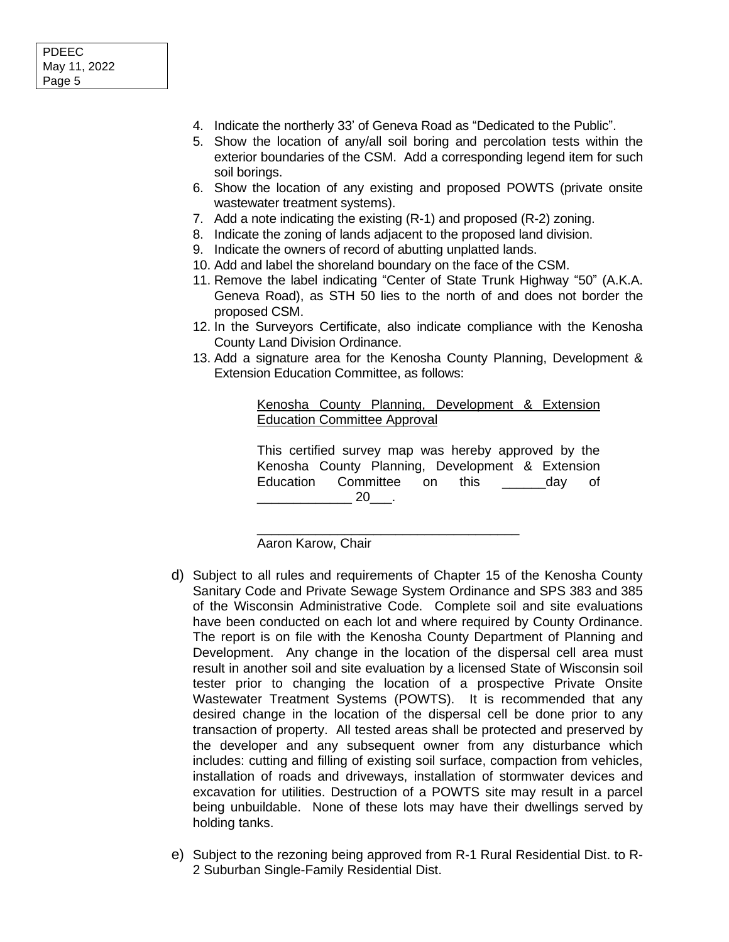- 4. Indicate the northerly 33' of Geneva Road as "Dedicated to the Public".
- 5. Show the location of any/all soil boring and percolation tests within the exterior boundaries of the CSM. Add a corresponding legend item for such soil borings.
- 6. Show the location of any existing and proposed POWTS (private onsite wastewater treatment systems).
- 7. Add a note indicating the existing (R-1) and proposed (R-2) zoning.
- 8. Indicate the zoning of lands adjacent to the proposed land division.
- 9. Indicate the owners of record of abutting unplatted lands.
- 10. Add and label the shoreland boundary on the face of the CSM.
- 11. Remove the label indicating "Center of State Trunk Highway "50" (A.K.A. Geneva Road), as STH 50 lies to the north of and does not border the proposed CSM.
- 12. In the Surveyors Certificate, also indicate compliance with the Kenosha County Land Division Ordinance.
- 13. Add a signature area for the Kenosha County Planning, Development & Extension Education Committee, as follows:

Kenosha County Planning, Development & Extension Education Committee Approval

This certified survey map was hereby approved by the Kenosha County Planning, Development & Extension Education Committee on this and day of  $20$  .

\_\_\_\_\_\_\_\_\_\_\_\_\_\_\_\_\_\_\_\_\_\_\_\_\_\_\_\_\_\_\_\_\_\_\_\_

Aaron Karow, Chair

- d) Subject to all rules and requirements of Chapter 15 of the Kenosha County Sanitary Code and Private Sewage System Ordinance and SPS 383 and 385 of the Wisconsin Administrative Code. Complete soil and site evaluations have been conducted on each lot and where required by County Ordinance. The report is on file with the Kenosha County Department of Planning and Development. Any change in the location of the dispersal cell area must result in another soil and site evaluation by a licensed State of Wisconsin soil tester prior to changing the location of a prospective Private Onsite Wastewater Treatment Systems (POWTS). It is recommended that any desired change in the location of the dispersal cell be done prior to any transaction of property. All tested areas shall be protected and preserved by the developer and any subsequent owner from any disturbance which includes: cutting and filling of existing soil surface, compaction from vehicles, installation of roads and driveways, installation of stormwater devices and excavation for utilities. Destruction of a POWTS site may result in a parcel being unbuildable. None of these lots may have their dwellings served by holding tanks.
- e) Subject to the rezoning being approved from R-1 Rural Residential Dist. to R-2 Suburban Single-Family Residential Dist.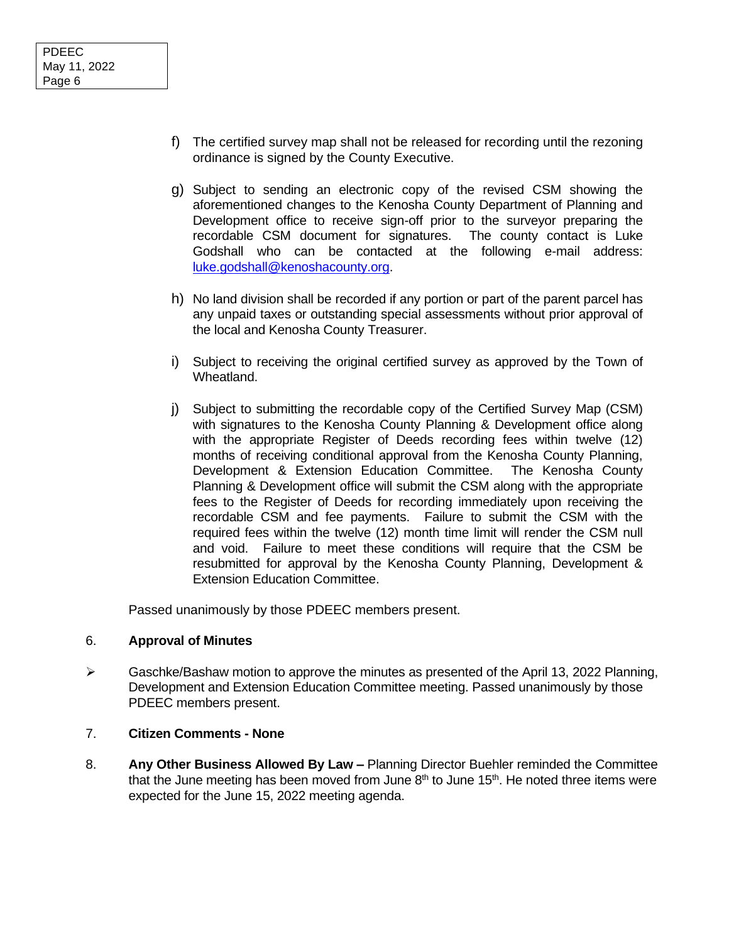- f) The certified survey map shall not be released for recording until the rezoning ordinance is signed by the County Executive.
- g) Subject to sending an electronic copy of the revised CSM showing the aforementioned changes to the Kenosha County Department of Planning and Development office to receive sign-off prior to the surveyor preparing the recordable CSM document for signatures. The county contact is Luke Godshall who can be contacted at the following e-mail address: [luke.godshall@kenoshacounty.org.](mailto:luke.godshall@kenoshacounty.org)
- h) No land division shall be recorded if any portion or part of the parent parcel has any unpaid taxes or outstanding special assessments without prior approval of the local and Kenosha County Treasurer.
- i) Subject to receiving the original certified survey as approved by the Town of Wheatland.
- j) Subject to submitting the recordable copy of the Certified Survey Map (CSM) with signatures to the Kenosha County Planning & Development office along with the appropriate Register of Deeds recording fees within twelve (12) months of receiving conditional approval from the Kenosha County Planning, Development & Extension Education Committee. The Kenosha County Planning & Development office will submit the CSM along with the appropriate fees to the Register of Deeds for recording immediately upon receiving the recordable CSM and fee payments. Failure to submit the CSM with the required fees within the twelve (12) month time limit will render the CSM null and void. Failure to meet these conditions will require that the CSM be resubmitted for approval by the Kenosha County Planning, Development & Extension Education Committee.

Passed unanimously by those PDEEC members present.

### 6. **Approval of Minutes**

 $\triangleright$  Gaschke/Bashaw motion to approve the minutes as presented of the April 13, 2022 Planning, Development and Extension Education Committee meeting. Passed unanimously by those PDEEC members present.

### 7. **Citizen Comments - None**

8. **Any Other Business Allowed By Law –** Planning Director Buehler reminded the Committee that the June meeting has been moved from June  $8<sup>th</sup>$  to June 15<sup>th</sup>. He noted three items were expected for the June 15, 2022 meeting agenda.